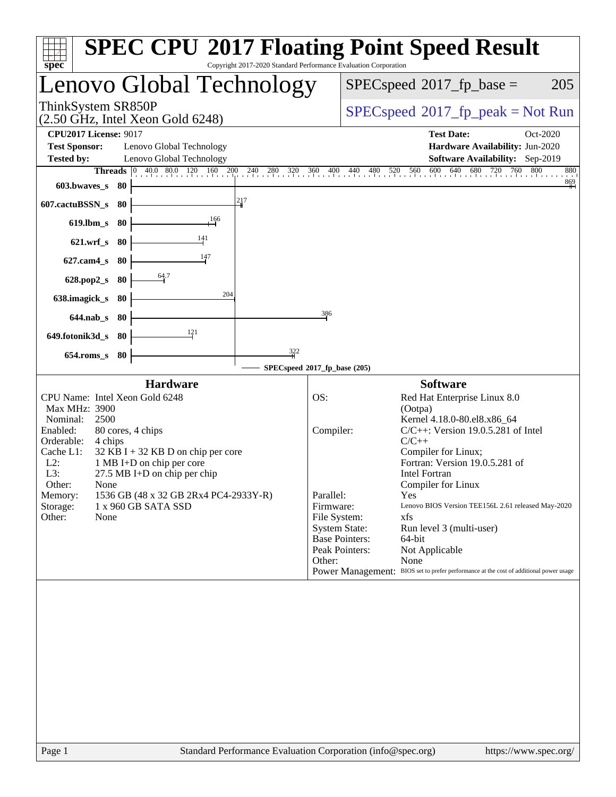| Copyright 2017-2020 Standard Performance Evaluation Corporation<br>spec <sup>®</sup>                                                                                                                                                                                                                                                                                                                             | <b>SPEC CPU®2017 Floating Point Speed Result</b>                                                                                                                                                                                                                                                                                                                                                                                                                                                                                                                                                                                     |
|------------------------------------------------------------------------------------------------------------------------------------------------------------------------------------------------------------------------------------------------------------------------------------------------------------------------------------------------------------------------------------------------------------------|--------------------------------------------------------------------------------------------------------------------------------------------------------------------------------------------------------------------------------------------------------------------------------------------------------------------------------------------------------------------------------------------------------------------------------------------------------------------------------------------------------------------------------------------------------------------------------------------------------------------------------------|
| enovo Global Technology.                                                                                                                                                                                                                                                                                                                                                                                         | $SPEC speed^{\circ}2017$ _fp_base =<br>205                                                                                                                                                                                                                                                                                                                                                                                                                                                                                                                                                                                           |
| ThinkSystem SR850P<br>$(2.50 \text{ GHz}, \text{Intel Xeon Gold } 6248)$                                                                                                                                                                                                                                                                                                                                         | $SPEC speed^{\circ}2017\_fp\_peak = Not Run$                                                                                                                                                                                                                                                                                                                                                                                                                                                                                                                                                                                         |
| <b>CPU2017 License: 9017</b><br><b>Test Sponsor:</b><br>Lenovo Global Technology<br><b>Tested by:</b><br>Lenovo Global Technology                                                                                                                                                                                                                                                                                | <b>Test Date:</b><br>Oct-2020<br>Hardware Availability: Jun-2020<br>Software Availability: Sep-2019                                                                                                                                                                                                                                                                                                                                                                                                                                                                                                                                  |
| <b>Threads</b> $\begin{bmatrix} 0 & 40.0 & 80.0 & 120 & 160 & 200 \end{bmatrix}$<br>$^{240}$<br>280 320<br>603.bwaves s 80<br>217<br>607.cactuBSSN_s<br>-80<br>166<br>$619$ .lbm_s<br>80<br>141<br>$621.wrf$ s<br>-80                                                                                                                                                                                            | 520 560 600<br>640<br>680<br>800<br>720<br>760<br>880<br>360 400 440<br>$^{480}$<br>$\frac{869}{11}$                                                                                                                                                                                                                                                                                                                                                                                                                                                                                                                                 |
| 147<br>$627$ .cam $4$ s<br>-80<br>64.7<br>80<br>$628.pop2_s$<br>204<br>638.imagick_s<br>80<br>$644$ .nab s<br>-80                                                                                                                                                                                                                                                                                                | 386                                                                                                                                                                                                                                                                                                                                                                                                                                                                                                                                                                                                                                  |
| 121<br>649.fotonik3d_s<br>-80<br>322<br>80<br>$654$ .roms s                                                                                                                                                                                                                                                                                                                                                      |                                                                                                                                                                                                                                                                                                                                                                                                                                                                                                                                                                                                                                      |
|                                                                                                                                                                                                                                                                                                                                                                                                                  | SPECspeed®2017_fp_base (205)                                                                                                                                                                                                                                                                                                                                                                                                                                                                                                                                                                                                         |
| <b>Hardware</b><br>CPU Name: Intel Xeon Gold 6248<br>Max MHz: 3900<br>Nominal:<br>2500<br>Enabled:<br>80 cores, 4 chips<br>Orderable:<br>4 chips<br>Cache L1:<br>$32$ KB I + 32 KB D on chip per core<br>$L2$ :<br>1 MB I+D on chip per core<br>L3:<br>$27.5$ MB I+D on chip per chip<br>Other:<br>None<br>1536 GB (48 x 32 GB 2Rx4 PC4-2933Y-R)<br>Memory:<br>Storage:<br>1 x 960 GB SATA SSD<br>Other:<br>None | <b>Software</b><br>OS:<br>Red Hat Enterprise Linux 8.0<br>(Ootpa)<br>Kernel 4.18.0-80.el8.x86_64<br>$C/C++$ : Version 19.0.5.281 of Intel<br>Compiler:<br>$C/C++$<br>Compiler for Linux;<br>Fortran: Version 19.0.5.281 of<br><b>Intel Fortran</b><br>Compiler for Linux<br>Parallel:<br><b>Yes</b><br>Firmware:<br>Lenovo BIOS Version TEE156L 2.61 released May-2020<br>File System:<br>xfs<br><b>System State:</b><br>Run level 3 (multi-user)<br><b>Base Pointers:</b><br>64-bit<br>Peak Pointers:<br>Not Applicable<br>Other:<br>None<br>Power Management: BIOS set to prefer performance at the cost of additional power usage |
|                                                                                                                                                                                                                                                                                                                                                                                                                  |                                                                                                                                                                                                                                                                                                                                                                                                                                                                                                                                                                                                                                      |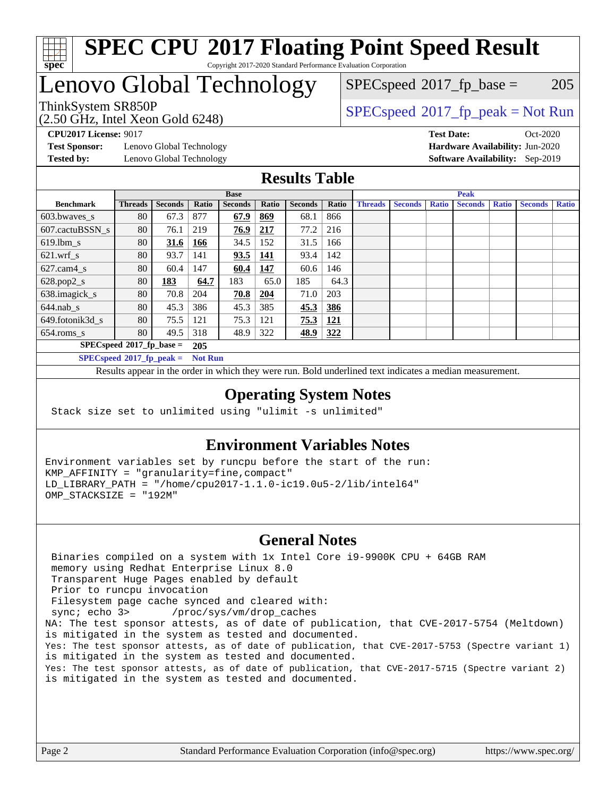

### **[SPEC CPU](http://www.spec.org/auto/cpu2017/Docs/result-fields.html#SPECCPU2017FloatingPointSpeedResult)[2017 Floating Point Speed Result](http://www.spec.org/auto/cpu2017/Docs/result-fields.html#SPECCPU2017FloatingPointSpeedResult)** Copyright 2017-2020 Standard Performance Evaluation Corporation

## Lenovo Global Technology

(2.50 GHz, Intel Xeon Gold 6248)

ThinkSystem SR850P<br>  $(2.50 \text{ GHz}_{\text{total}} \text{ Total} 5248)$  [SPECspeed](http://www.spec.org/auto/cpu2017/Docs/result-fields.html#SPECspeed2017fppeak)®[2017\\_fp\\_peak = N](http://www.spec.org/auto/cpu2017/Docs/result-fields.html#SPECspeed2017fppeak)ot Run  $SPECspeed^{\circledcirc}2017_fp\_base = 205$  $SPECspeed^{\circledcirc}2017_fp\_base = 205$ 

**[Test Sponsor:](http://www.spec.org/auto/cpu2017/Docs/result-fields.html#TestSponsor)** Lenovo Global Technology **[Hardware Availability:](http://www.spec.org/auto/cpu2017/Docs/result-fields.html#HardwareAvailability)** Jun-2020 **[Tested by:](http://www.spec.org/auto/cpu2017/Docs/result-fields.html#Testedby)** Lenovo Global Technology **[Software Availability:](http://www.spec.org/auto/cpu2017/Docs/result-fields.html#SoftwareAvailability)** Sep-2019

**[CPU2017 License:](http://www.spec.org/auto/cpu2017/Docs/result-fields.html#CPU2017License)** 9017 **[Test Date:](http://www.spec.org/auto/cpu2017/Docs/result-fields.html#TestDate)** Oct-2020

### **[Results Table](http://www.spec.org/auto/cpu2017/Docs/result-fields.html#ResultsTable)**

|                             | <b>Base</b>               |                |                |                |       | <b>Peak</b>    |            |                |                |              |                |              |                |              |
|-----------------------------|---------------------------|----------------|----------------|----------------|-------|----------------|------------|----------------|----------------|--------------|----------------|--------------|----------------|--------------|
| <b>Benchmark</b>            | <b>Threads</b>            | <b>Seconds</b> | Ratio          | <b>Seconds</b> | Ratio | <b>Seconds</b> | Ratio      | <b>Threads</b> | <b>Seconds</b> | <b>Ratio</b> | <b>Seconds</b> | <b>Ratio</b> | <b>Seconds</b> | <b>Ratio</b> |
| 603.bwayes s                | 80                        | 67.3           | 877            | 67.9           | 869   | 68.1           | 866        |                |                |              |                |              |                |              |
| 607.cactuBSSN s             | 80                        | 76.1           | 219            | 76.9           | 217   | 77.2           | 216        |                |                |              |                |              |                |              |
| $619.$ lbm s                | 80                        | 31.6           | 166            | 34.5           | 152   | 31.5           | 166        |                |                |              |                |              |                |              |
| $621.wrf$ s                 | 80                        | 93.7           | 141            | 93.5           | 141   | 93.4           | 142        |                |                |              |                |              |                |              |
| $627.cam4_s$                | 80                        | 60.4           | 147            | 60.4           | 147   | 60.6           | 146        |                |                |              |                |              |                |              |
| $628.pop2_s$                | 80                        | <u>183</u>     | 64.7           | 183            | 65.0  | 185            | 64.3       |                |                |              |                |              |                |              |
| 638.imagick_s               | 80                        | 70.8           | 204            | 70.8           | 204   | 71.0           | 203        |                |                |              |                |              |                |              |
| $644$ .nab s                | 80                        | 45.3           | 386            | 45.3           | 385   | 45.3           | 386        |                |                |              |                |              |                |              |
| 649.fotonik3d s             | 80                        | 75.5           | 121            | 75.3           | 121   | 75.3           | <u>121</u> |                |                |              |                |              |                |              |
| $654$ .roms s               | 80                        | 49.5           | 318            | 48.9           | 322   | 48.9           | 322        |                |                |              |                |              |                |              |
|                             | $SPECspeed*2017fp base =$ |                | 205            |                |       |                |            |                |                |              |                |              |                |              |
| $SPECspeed*2017_fp\_peak =$ |                           |                | <b>Not Run</b> |                |       |                |            |                |                |              |                |              |                |              |

Results appear in the [order in which they were run.](http://www.spec.org/auto/cpu2017/Docs/result-fields.html#RunOrder) Bold underlined text [indicates a median measurement](http://www.spec.org/auto/cpu2017/Docs/result-fields.html#Median).

### **[Operating System Notes](http://www.spec.org/auto/cpu2017/Docs/result-fields.html#OperatingSystemNotes)**

Stack size set to unlimited using "ulimit -s unlimited"

### **[Environment Variables Notes](http://www.spec.org/auto/cpu2017/Docs/result-fields.html#EnvironmentVariablesNotes)**

Environment variables set by runcpu before the start of the run: KMP\_AFFINITY = "granularity=fine,compact" LD\_LIBRARY\_PATH = "/home/cpu2017-1.1.0-ic19.0u5-2/lib/intel64" OMP\_STACKSIZE = "192M"

#### **[General Notes](http://www.spec.org/auto/cpu2017/Docs/result-fields.html#GeneralNotes)**

 Binaries compiled on a system with 1x Intel Core i9-9900K CPU + 64GB RAM memory using Redhat Enterprise Linux 8.0 Transparent Huge Pages enabled by default Prior to runcpu invocation Filesystem page cache synced and cleared with: sync; echo 3> /proc/sys/vm/drop\_caches NA: The test sponsor attests, as of date of publication, that CVE-2017-5754 (Meltdown) is mitigated in the system as tested and documented. Yes: The test sponsor attests, as of date of publication, that CVE-2017-5753 (Spectre variant 1) is mitigated in the system as tested and documented. Yes: The test sponsor attests, as of date of publication, that CVE-2017-5715 (Spectre variant 2) is mitigated in the system as tested and documented.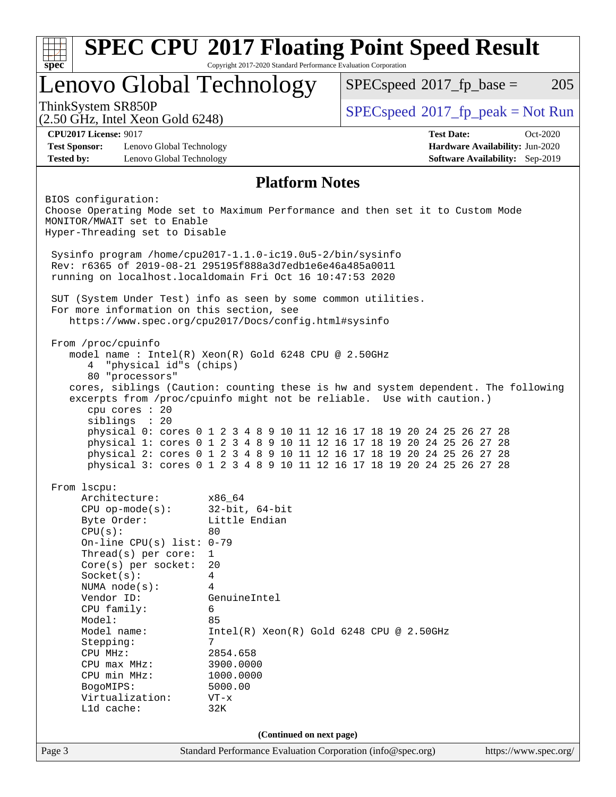|                                                                                                                                                                                                                                                                                                                                                                   |                                                                                                                                                                                                                                                      | <b>SPEC CPU®2017 Floating Point Speed Result</b>                                                                                                                                                                                                                                                     |                                        |
|-------------------------------------------------------------------------------------------------------------------------------------------------------------------------------------------------------------------------------------------------------------------------------------------------------------------------------------------------------------------|------------------------------------------------------------------------------------------------------------------------------------------------------------------------------------------------------------------------------------------------------|------------------------------------------------------------------------------------------------------------------------------------------------------------------------------------------------------------------------------------------------------------------------------------------------------|----------------------------------------|
| $spec^*$                                                                                                                                                                                                                                                                                                                                                          | Copyright 2017-2020 Standard Performance Evaluation Corporation                                                                                                                                                                                      |                                                                                                                                                                                                                                                                                                      |                                        |
| Lenovo Global Technology                                                                                                                                                                                                                                                                                                                                          |                                                                                                                                                                                                                                                      | $SPEC speed^{\circ}2017$ _fp_base =                                                                                                                                                                                                                                                                  | 205                                    |
| ThinkSystem SR850P<br>$(2.50 \text{ GHz}, \text{Intel Xeon Gold } 6248)$                                                                                                                                                                                                                                                                                          |                                                                                                                                                                                                                                                      | $SPEC speed^{\circ}2017\_fp\_peak = Not Run$                                                                                                                                                                                                                                                         |                                        |
| <b>CPU2017 License: 9017</b>                                                                                                                                                                                                                                                                                                                                      |                                                                                                                                                                                                                                                      | <b>Test Date:</b>                                                                                                                                                                                                                                                                                    | Oct-2020                               |
| <b>Test Sponsor:</b><br>Lenovo Global Technology                                                                                                                                                                                                                                                                                                                  |                                                                                                                                                                                                                                                      |                                                                                                                                                                                                                                                                                                      | Hardware Availability: Jun-2020        |
| <b>Tested by:</b><br>Lenovo Global Technology                                                                                                                                                                                                                                                                                                                     |                                                                                                                                                                                                                                                      |                                                                                                                                                                                                                                                                                                      | <b>Software Availability:</b> Sep-2019 |
|                                                                                                                                                                                                                                                                                                                                                                   | <b>Platform Notes</b>                                                                                                                                                                                                                                |                                                                                                                                                                                                                                                                                                      |                                        |
| BIOS configuration:<br>Choose Operating Mode set to Maximum Performance and then set it to Custom Mode<br>MONITOR/MWAIT set to Enable                                                                                                                                                                                                                             |                                                                                                                                                                                                                                                      |                                                                                                                                                                                                                                                                                                      |                                        |
| Hyper-Threading set to Disable                                                                                                                                                                                                                                                                                                                                    |                                                                                                                                                                                                                                                      |                                                                                                                                                                                                                                                                                                      |                                        |
| Sysinfo program /home/cpu2017-1.1.0-ic19.0u5-2/bin/sysinfo<br>Rev: r6365 of 2019-08-21 295195f888a3d7edble6e46a485a0011<br>running on localhost.localdomain Fri Oct 16 10:47:53 2020                                                                                                                                                                              |                                                                                                                                                                                                                                                      |                                                                                                                                                                                                                                                                                                      |                                        |
| SUT (System Under Test) info as seen by some common utilities.<br>For more information on this section, see<br>https://www.spec.org/cpu2017/Docs/config.html#sysinfo                                                                                                                                                                                              |                                                                                                                                                                                                                                                      |                                                                                                                                                                                                                                                                                                      |                                        |
| model name : Intel(R) Xeon(R) Gold 6248 CPU @ 2.50GHz<br>"physical id"s (chips)<br>4<br>80 "processors"<br>cores, siblings (Caution: counting these is hw and system dependent. The following<br>excerpts from /proc/cpuinfo might not be reliable. Use with caution.)<br>cpu cores : 20<br>siblings : 20                                                         |                                                                                                                                                                                                                                                      | physical 0: cores 0 1 2 3 4 8 9 10 11 12 16 17 18 19 20 24 25 26 27 28<br>physical 1: cores 0 1 2 3 4 8 9 10 11 12 16 17 18 19 20 24 25 26 27 28<br>physical 2: cores 0 1 2 3 4 8 9 10 11 12 16 17 18 19 20 24 25 26 27 28<br>physical 3: cores 0 1 2 3 4 8 9 10 11 12 16 17 18 19 20 24 25 26 27 28 |                                        |
| From lscpu:<br>Architecture:<br>$CPU$ op-mode( $s$ ):<br>Byte Order:<br>CPU(s):<br>On-line CPU(s) list: $0-79$<br>Thread(s) per core:<br>Core(s) per socket:<br>Socket(s):<br>NUMA $node(s):$<br>Vendor ID:<br>CPU family:<br>Model:<br>Model name:<br>Stepping:<br>CPU MHz:<br>$CPU$ $max$ $MHz$ :<br>CPU min MHz:<br>BogoMIPS:<br>Virtualization:<br>L1d cache: | x86_64<br>$32$ -bit, $64$ -bit<br>Little Endian<br>80<br>$\mathbf{1}$<br>20<br>$\overline{4}$<br>4<br>GenuineIntel<br>6<br>85<br>$Intel(R) Xeon(R) Gold 6248 CPU @ 2.50GHz$<br>7<br>2854.658<br>3900.0000<br>1000.0000<br>5000.00<br>$VT - x$<br>32K |                                                                                                                                                                                                                                                                                                      |                                        |
|                                                                                                                                                                                                                                                                                                                                                                   | (Continued on next page)                                                                                                                                                                                                                             |                                                                                                                                                                                                                                                                                                      |                                        |
|                                                                                                                                                                                                                                                                                                                                                                   |                                                                                                                                                                                                                                                      |                                                                                                                                                                                                                                                                                                      |                                        |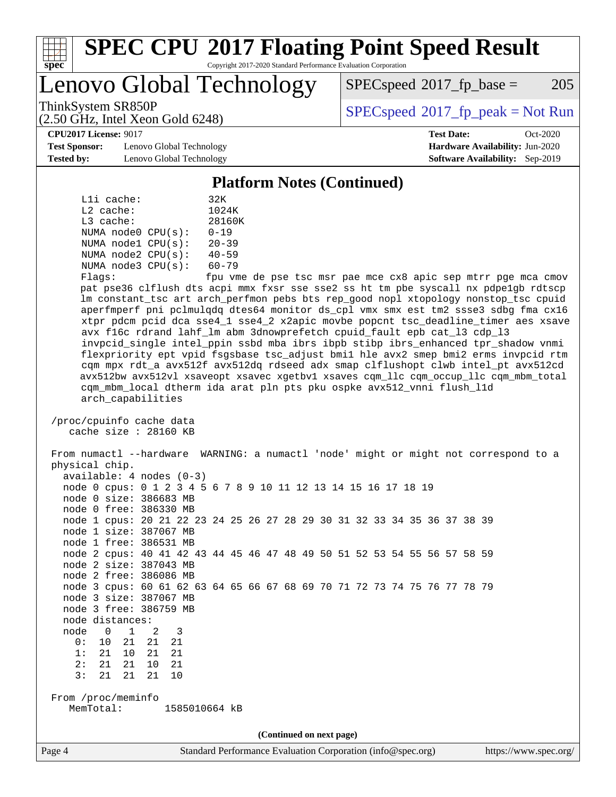

# **[SPEC CPU](http://www.spec.org/auto/cpu2017/Docs/result-fields.html#SPECCPU2017FloatingPointSpeedResult)[2017 Floating Point Speed Result](http://www.spec.org/auto/cpu2017/Docs/result-fields.html#SPECCPU2017FloatingPointSpeedResult)**

Copyright 2017-2020 Standard Performance Evaluation Corporation

Lenovo Global Technology

 $SPEC speed^{\circ}2017\_fp\_base = 205$ 

(2.50 GHz, Intel Xeon Gold 6248)

ThinkSystem SR850P<br>  $\begin{array}{c}\n\text{SPEC speed} \text{°2017\_fp\_peak} = \text{Not Run} \\
\text{SPEC speed} \text{°2017\_fp\_peak} = \text{Not Run} \\
\end{array}$ 

**[CPU2017 License:](http://www.spec.org/auto/cpu2017/Docs/result-fields.html#CPU2017License)** 9017 **[Test Date:](http://www.spec.org/auto/cpu2017/Docs/result-fields.html#TestDate)** Oct-2020

**[Test Sponsor:](http://www.spec.org/auto/cpu2017/Docs/result-fields.html#TestSponsor)** Lenovo Global Technology **[Hardware Availability:](http://www.spec.org/auto/cpu2017/Docs/result-fields.html#HardwareAvailability)** Jun-2020 **[Tested by:](http://www.spec.org/auto/cpu2017/Docs/result-fields.html#Testedby)** Lenovo Global Technology **[Software Availability:](http://www.spec.org/auto/cpu2017/Docs/result-fields.html#SoftwareAvailability)** Sep-2019

**[Platform Notes \(Continued\)](http://www.spec.org/auto/cpu2017/Docs/result-fields.html#PlatformNotes)**

| Lli cache:              |  | 32K                        |
|-------------------------|--|----------------------------|
| $L2$ cache:             |  | 1024K                      |
| $L3$ cache:             |  | 28160K                     |
| NUMA $node0$ $CPU(s)$ : |  | $0 - 19$                   |
| NUMA $node1$ $CPU(s)$ : |  | $20 - 39$                  |
| NUMA $node2$ $CPU(s)$ : |  | $40 - 59$                  |
| NUMA $node3$ $CPU(s)$ : |  | $60 - 79$                  |
| $F1$ arg $\cdot$        |  | $f_{\text{min}}$ $\tau$ me |

Flags: fpu vme de pse tsc msr pae mce cx8 apic sep mtrr pge mca cmov pat pse36 clflush dts acpi mmx fxsr sse sse2 ss ht tm pbe syscall nx pdpe1gb rdtscp lm constant\_tsc art arch\_perfmon pebs bts rep\_good nopl xtopology nonstop\_tsc cpuid aperfmperf pni pclmulqdq dtes64 monitor ds\_cpl vmx smx est tm2 ssse3 sdbg fma cx16 xtpr pdcm pcid dca sse4\_1 sse4\_2 x2apic movbe popcnt tsc\_deadline\_timer aes xsave avx f16c rdrand lahf\_lm abm 3dnowprefetch cpuid\_fault epb cat\_l3 cdp\_l3 invpcid\_single intel\_ppin ssbd mba ibrs ibpb stibp ibrs\_enhanced tpr\_shadow vnmi flexpriority ept vpid fsgsbase tsc\_adjust bmi1 hle avx2 smep bmi2 erms invpcid rtm cqm mpx rdt\_a avx512f avx512dq rdseed adx smap clflushopt clwb intel\_pt avx512cd avx512bw avx512vl xsaveopt xsavec xgetbv1 xsaves cqm\_llc cqm\_occup\_llc cqm\_mbm\_total cqm\_mbm\_local dtherm ida arat pln pts pku ospke avx512\_vnni flush\_l1d arch\_capabilities

 /proc/cpuinfo cache data cache size : 28160 KB

 From numactl --hardware WARNING: a numactl 'node' might or might not correspond to a physical chip. available: 4 nodes (0-3) node 0 cpus: 0 1 2 3 4 5 6 7 8 9 10 11 12 13 14 15 16 17 18 19 node 0 size: 386683 MB

node 0 free: 386330 MB

 node 1 cpus: 20 21 22 23 24 25 26 27 28 29 30 31 32 33 34 35 36 37 38 39 node 1 size: 387067 MB

 node 1 free: 386531 MB node 2 cpus: 40 41 42 43 44 45 46 47 48 49 50 51 52 53 54 55 56 57 58 59

 node 2 size: 387043 MB node 2 free: 386086 MB

 node 3 cpus: 60 61 62 63 64 65 66 67 68 69 70 71 72 73 74 75 76 77 78 79 node 3 size: 387067 MB

node 3 free: 386759 MB

node distances:

- node 0 1 2 3 0: 10 21 21 21
- 1: 21 10 21 21

 2: 21 21 10 21 3: 21 21 21 10

 From /proc/meminfo MemTotal: 1585010664 kB

**(Continued on next page)**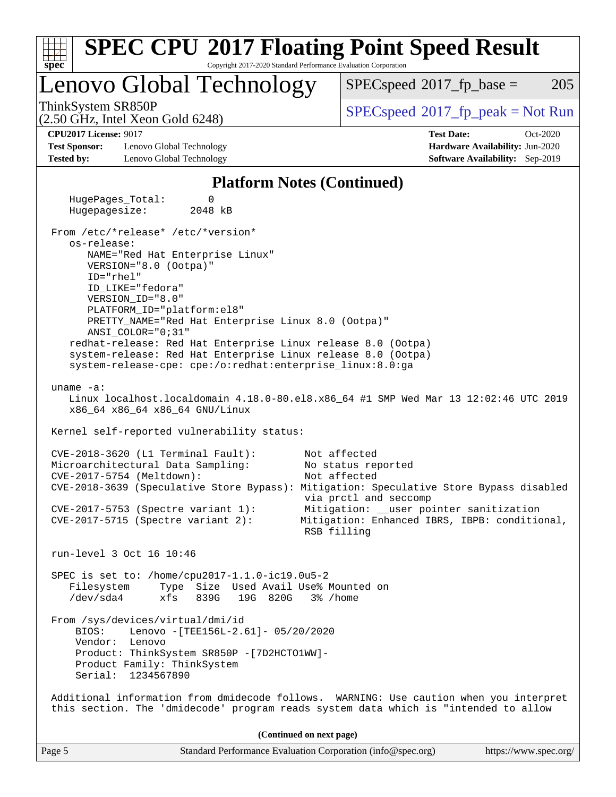| <b>SPEC CPU®2017 Floating Point Speed Result</b><br>spec<br>Copyright 2017-2020 Standard Performance Evaluation Corporation                                                                         |                                                                                                         |
|-----------------------------------------------------------------------------------------------------------------------------------------------------------------------------------------------------|---------------------------------------------------------------------------------------------------------|
| Lenovo Global Technology                                                                                                                                                                            | 205<br>$SPEC speed^{\circ}2017$ _fp_base =                                                              |
| ThinkSystem SR850P<br>$(2.50 \text{ GHz}, \text{Intel Xeon Gold } 6248)$                                                                                                                            | $SPEC speed$ <sup>®</sup> 2017_fp_peak = Not Run                                                        |
| <b>CPU2017 License: 9017</b>                                                                                                                                                                        | <b>Test Date:</b><br>Oct-2020                                                                           |
| <b>Test Sponsor:</b><br>Lenovo Global Technology                                                                                                                                                    | Hardware Availability: Jun-2020                                                                         |
| <b>Tested by:</b><br>Lenovo Global Technology                                                                                                                                                       | <b>Software Availability:</b> Sep-2019                                                                  |
| <b>Platform Notes (Continued)</b>                                                                                                                                                                   |                                                                                                         |
| HugePages_Total:<br>0<br>Hugepagesize:<br>2048 kB                                                                                                                                                   |                                                                                                         |
| From /etc/*release* /etc/*version*<br>os-release:<br>NAME="Red Hat Enterprise Linux"                                                                                                                |                                                                                                         |
| VERSION="8.0 (Ootpa)"<br>ID="rhel"                                                                                                                                                                  |                                                                                                         |
| ID_LIKE="fedora"<br>VERSION ID="8.0"<br>PLATFORM_ID="platform:el8"                                                                                                                                  |                                                                                                         |
| PRETTY_NAME="Red Hat Enterprise Linux 8.0 (Ootpa)"<br>ANSI_COLOR="0;31"                                                                                                                             |                                                                                                         |
| redhat-release: Red Hat Enterprise Linux release 8.0 (Ootpa)<br>system-release: Red Hat Enterprise Linux release 8.0 (Ootpa)<br>system-release-cpe: cpe:/o:redhat:enterprise_linux:8.0:ga           |                                                                                                         |
| uname $-a$ :<br>x86_64 x86_64 x86_64 GNU/Linux                                                                                                                                                      | Linux localhost.localdomain 4.18.0-80.el8.x86_64 #1 SMP Wed Mar 13 12:02:46 UTC 2019                    |
| Kernel self-reported vulnerability status:                                                                                                                                                          |                                                                                                         |
| CVE-2018-3620 (L1 Terminal Fault):<br>Microarchitectural Data Sampling:<br>CVE-2017-5754 (Meltdown):                                                                                                | Not affected<br>No status reported<br>Not affected                                                      |
| CVE-2018-3639 (Speculative Store Bypass): Mitigation: Speculative Store Bypass disabled<br>$CVE-2017-5753$ (Spectre variant 1):                                                                     | via prctl and seccomp                                                                                   |
| $CVE-2017-5715$ (Spectre variant 2):                                                                                                                                                                | Mitigation: __user pointer sanitization<br>Mitigation: Enhanced IBRS, IBPB: conditional,<br>RSB filling |
| run-level 3 Oct 16 10:46                                                                                                                                                                            |                                                                                                         |
| SPEC is set to: /home/cpu2017-1.1.0-ic19.0u5-2<br>Type Size Used Avail Use% Mounted on<br>Filesystem<br>$/\text{dev/sda4}$<br>839G<br>19G 820G<br>xfs                                               | 3% /home                                                                                                |
| From /sys/devices/virtual/dmi/id<br>BIOS:<br>Lenovo - [TEE156L-2.61]- 05/20/2020<br>Vendor: Lenovo<br>Product: ThinkSystem SR850P - [7D2HCTO1WW]-<br>Product Family: ThinkSystem                    |                                                                                                         |
| Serial: 1234567890<br>Additional information from dmidecode follows. WARNING: Use caution when you interpret<br>this section. The 'dmidecode' program reads system data which is "intended to allow |                                                                                                         |
| (Continued on next page)                                                                                                                                                                            |                                                                                                         |
| Page 5<br>Standard Performance Evaluation Corporation (info@spec.org)                                                                                                                               | https://www.spec.org/                                                                                   |
|                                                                                                                                                                                                     |                                                                                                         |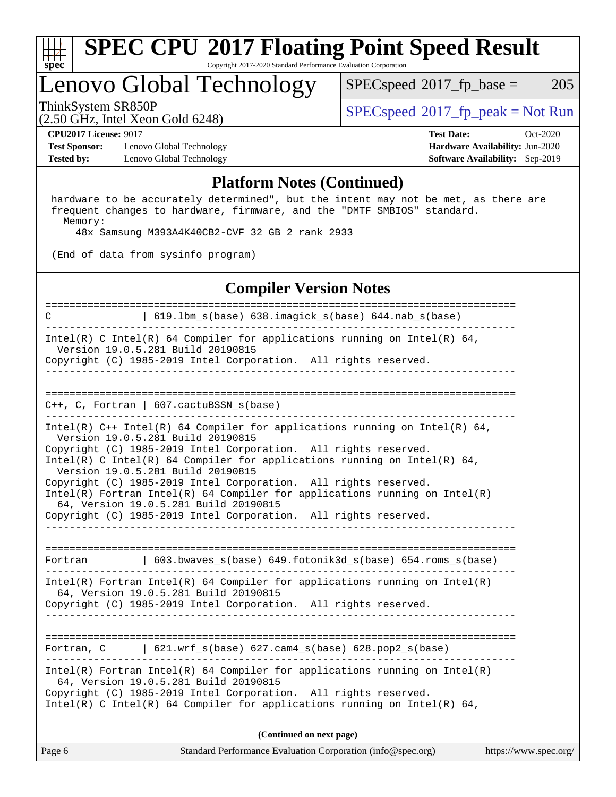

#### **[SPEC CPU](http://www.spec.org/auto/cpu2017/Docs/result-fields.html#SPECCPU2017FloatingPointSpeedResult)[2017 Floating Point Speed Result](http://www.spec.org/auto/cpu2017/Docs/result-fields.html#SPECCPU2017FloatingPointSpeedResult)** Copyright 2017-2020 Standard Performance Evaluation Corporation

## Lenovo Global Technology

 $SPECspeed^{\circledcirc}2017_fp\_base = 205$  $SPECspeed^{\circledcirc}2017_fp\_base = 205$ 

(2.50 GHz, Intel Xeon Gold 6248)

ThinkSystem SR850P<br>  $\begin{array}{c}\n\text{SPEC speed} \text{?}2017 \text{ fp\_peak} = \text{Not Run} \\
\text{SPEC speed} \text{?}2017 \text{ fp\_peak} = \text{Not Run} \\
\end{array}$ 

**[Test Sponsor:](http://www.spec.org/auto/cpu2017/Docs/result-fields.html#TestSponsor)** Lenovo Global Technology **[Hardware Availability:](http://www.spec.org/auto/cpu2017/Docs/result-fields.html#HardwareAvailability)** Jun-2020 **[Tested by:](http://www.spec.org/auto/cpu2017/Docs/result-fields.html#Testedby)** Lenovo Global Technology **[Software Availability:](http://www.spec.org/auto/cpu2017/Docs/result-fields.html#SoftwareAvailability)** Sep-2019

**[CPU2017 License:](http://www.spec.org/auto/cpu2017/Docs/result-fields.html#CPU2017License)** 9017 **[Test Date:](http://www.spec.org/auto/cpu2017/Docs/result-fields.html#TestDate)** Oct-2020

#### **[Platform Notes \(Continued\)](http://www.spec.org/auto/cpu2017/Docs/result-fields.html#PlatformNotes)**

 hardware to be accurately determined", but the intent may not be met, as there are frequent changes to hardware, firmware, and the "DMTF SMBIOS" standard. Memory:

48x Samsung M393A4K40CB2-CVF 32 GB 2 rank 2933

(End of data from sysinfo program)

### **[Compiler Version Notes](http://www.spec.org/auto/cpu2017/Docs/result-fields.html#CompilerVersionNotes)**

Page 6 Standard Performance Evaluation Corporation [\(info@spec.org\)](mailto:info@spec.org) <https://www.spec.org/> ============================================================================== C | 619.lbm\_s(base) 638.imagick\_s(base) 644.nab\_s(base) ------------------------------------------------------------------------------ Intel(R) C Intel(R) 64 Compiler for applications running on Intel(R)  $64$ , Version 19.0.5.281 Build 20190815 Copyright (C) 1985-2019 Intel Corporation. All rights reserved. ------------------------------------------------------------------------------ ============================================================================== C++, C, Fortran | 607.cactuBSSN\_s(base) ------------------------------------------------------------------------------ Intel(R) C++ Intel(R) 64 Compiler for applications running on Intel(R) 64, Version 19.0.5.281 Build 20190815 Copyright (C) 1985-2019 Intel Corporation. All rights reserved. Intel(R) C Intel(R) 64 Compiler for applications running on Intel(R)  $64$ , Version 19.0.5.281 Build 20190815 Copyright (C) 1985-2019 Intel Corporation. All rights reserved. Intel(R) Fortran Intel(R) 64 Compiler for applications running on Intel(R) 64, Version 19.0.5.281 Build 20190815 Copyright (C) 1985-2019 Intel Corporation. All rights reserved. ------------------------------------------------------------------------------ ============================================================================== Fortran | 603.bwaves\_s(base) 649.fotonik3d\_s(base) 654.roms\_s(base) ------------------------------------------------------------------------------ Intel(R) Fortran Intel(R) 64 Compiler for applications running on Intel(R) 64, Version 19.0.5.281 Build 20190815 Copyright (C) 1985-2019 Intel Corporation. All rights reserved. ------------------------------------------------------------------------------ ============================================================================== Fortran, C | 621.wrf\_s(base) 627.cam4\_s(base) 628.pop2\_s(base) ------------------------------------------------------------------------------ Intel(R) Fortran Intel(R) 64 Compiler for applications running on Intel(R) 64, Version 19.0.5.281 Build 20190815 Copyright (C) 1985-2019 Intel Corporation. All rights reserved. Intel(R) C Intel(R) 64 Compiler for applications running on Intel(R)  $64$ , **(Continued on next page)**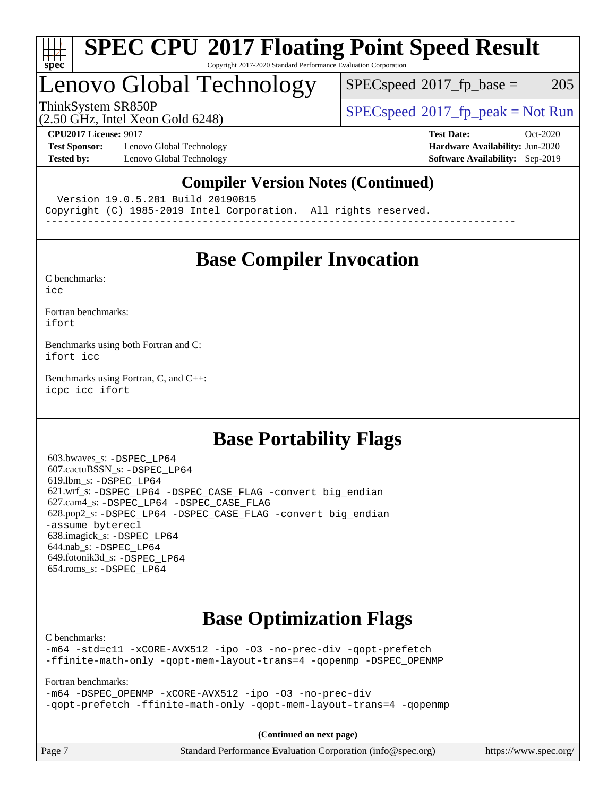

### **[SPEC CPU](http://www.spec.org/auto/cpu2017/Docs/result-fields.html#SPECCPU2017FloatingPointSpeedResult)[2017 Floating Point Speed Result](http://www.spec.org/auto/cpu2017/Docs/result-fields.html#SPECCPU2017FloatingPointSpeedResult)** Copyright 2017-2020 Standard Performance Evaluation Corporation

## Lenovo Global Technology

 $SPECspeed^{\circledcirc}2017_fp\_base = 205$  $SPECspeed^{\circledcirc}2017_fp\_base = 205$ 

(2.50 GHz, Intel Xeon Gold 6248)

ThinkSystem SR850P<br>  $SPECspeed*2017_fp\_peak = Not Run$  $SPECspeed*2017_fp\_peak = Not Run$ 

**[Test Sponsor:](http://www.spec.org/auto/cpu2017/Docs/result-fields.html#TestSponsor)** Lenovo Global Technology **[Hardware Availability:](http://www.spec.org/auto/cpu2017/Docs/result-fields.html#HardwareAvailability)** Jun-2020 **[Tested by:](http://www.spec.org/auto/cpu2017/Docs/result-fields.html#Testedby)** Lenovo Global Technology **[Software Availability:](http://www.spec.org/auto/cpu2017/Docs/result-fields.html#SoftwareAvailability)** Sep-2019

**[CPU2017 License:](http://www.spec.org/auto/cpu2017/Docs/result-fields.html#CPU2017License)** 9017 **[Test Date:](http://www.spec.org/auto/cpu2017/Docs/result-fields.html#TestDate)** Oct-2020

### **[Compiler Version Notes \(Continued\)](http://www.spec.org/auto/cpu2017/Docs/result-fields.html#CompilerVersionNotes)**

Version 19.0.5.281 Build 20190815

Copyright (C) 1985-2019 Intel Corporation. All rights reserved.

------------------------------------------------------------------------------

## **[Base Compiler Invocation](http://www.spec.org/auto/cpu2017/Docs/result-fields.html#BaseCompilerInvocation)**

[C benchmarks](http://www.spec.org/auto/cpu2017/Docs/result-fields.html#Cbenchmarks): [icc](http://www.spec.org/cpu2017/results/res2020q4/cpu2017-20201026-24296.flags.html#user_CCbase_intel_icc_66fc1ee009f7361af1fbd72ca7dcefbb700085f36577c54f309893dd4ec40d12360134090235512931783d35fd58c0460139e722d5067c5574d8eaf2b3e37e92)

[Fortran benchmarks](http://www.spec.org/auto/cpu2017/Docs/result-fields.html#Fortranbenchmarks): [ifort](http://www.spec.org/cpu2017/results/res2020q4/cpu2017-20201026-24296.flags.html#user_FCbase_intel_ifort_8111460550e3ca792625aed983ce982f94888b8b503583aa7ba2b8303487b4d8a21a13e7191a45c5fd58ff318f48f9492884d4413fa793fd88dd292cad7027ca)

[Benchmarks using both Fortran and C](http://www.spec.org/auto/cpu2017/Docs/result-fields.html#BenchmarksusingbothFortranandC): [ifort](http://www.spec.org/cpu2017/results/res2020q4/cpu2017-20201026-24296.flags.html#user_CC_FCbase_intel_ifort_8111460550e3ca792625aed983ce982f94888b8b503583aa7ba2b8303487b4d8a21a13e7191a45c5fd58ff318f48f9492884d4413fa793fd88dd292cad7027ca) [icc](http://www.spec.org/cpu2017/results/res2020q4/cpu2017-20201026-24296.flags.html#user_CC_FCbase_intel_icc_66fc1ee009f7361af1fbd72ca7dcefbb700085f36577c54f309893dd4ec40d12360134090235512931783d35fd58c0460139e722d5067c5574d8eaf2b3e37e92)

[Benchmarks using Fortran, C, and C++:](http://www.spec.org/auto/cpu2017/Docs/result-fields.html#BenchmarksusingFortranCandCXX) [icpc](http://www.spec.org/cpu2017/results/res2020q4/cpu2017-20201026-24296.flags.html#user_CC_CXX_FCbase_intel_icpc_c510b6838c7f56d33e37e94d029a35b4a7bccf4766a728ee175e80a419847e808290a9b78be685c44ab727ea267ec2f070ec5dc83b407c0218cded6866a35d07) [icc](http://www.spec.org/cpu2017/results/res2020q4/cpu2017-20201026-24296.flags.html#user_CC_CXX_FCbase_intel_icc_66fc1ee009f7361af1fbd72ca7dcefbb700085f36577c54f309893dd4ec40d12360134090235512931783d35fd58c0460139e722d5067c5574d8eaf2b3e37e92) [ifort](http://www.spec.org/cpu2017/results/res2020q4/cpu2017-20201026-24296.flags.html#user_CC_CXX_FCbase_intel_ifort_8111460550e3ca792625aed983ce982f94888b8b503583aa7ba2b8303487b4d8a21a13e7191a45c5fd58ff318f48f9492884d4413fa793fd88dd292cad7027ca)

## **[Base Portability Flags](http://www.spec.org/auto/cpu2017/Docs/result-fields.html#BasePortabilityFlags)**

 603.bwaves\_s: [-DSPEC\\_LP64](http://www.spec.org/cpu2017/results/res2020q4/cpu2017-20201026-24296.flags.html#suite_basePORTABILITY603_bwaves_s_DSPEC_LP64) 607.cactuBSSN\_s: [-DSPEC\\_LP64](http://www.spec.org/cpu2017/results/res2020q4/cpu2017-20201026-24296.flags.html#suite_basePORTABILITY607_cactuBSSN_s_DSPEC_LP64) 619.lbm\_s: [-DSPEC\\_LP64](http://www.spec.org/cpu2017/results/res2020q4/cpu2017-20201026-24296.flags.html#suite_basePORTABILITY619_lbm_s_DSPEC_LP64) 621.wrf\_s: [-DSPEC\\_LP64](http://www.spec.org/cpu2017/results/res2020q4/cpu2017-20201026-24296.flags.html#suite_basePORTABILITY621_wrf_s_DSPEC_LP64) [-DSPEC\\_CASE\\_FLAG](http://www.spec.org/cpu2017/results/res2020q4/cpu2017-20201026-24296.flags.html#b621.wrf_s_baseCPORTABILITY_DSPEC_CASE_FLAG) [-convert big\\_endian](http://www.spec.org/cpu2017/results/res2020q4/cpu2017-20201026-24296.flags.html#user_baseFPORTABILITY621_wrf_s_convert_big_endian_c3194028bc08c63ac5d04de18c48ce6d347e4e562e8892b8bdbdc0214820426deb8554edfa529a3fb25a586e65a3d812c835984020483e7e73212c4d31a38223) 627.cam4\_s: [-DSPEC\\_LP64](http://www.spec.org/cpu2017/results/res2020q4/cpu2017-20201026-24296.flags.html#suite_basePORTABILITY627_cam4_s_DSPEC_LP64) [-DSPEC\\_CASE\\_FLAG](http://www.spec.org/cpu2017/results/res2020q4/cpu2017-20201026-24296.flags.html#b627.cam4_s_baseCPORTABILITY_DSPEC_CASE_FLAG) 628.pop2\_s: [-DSPEC\\_LP64](http://www.spec.org/cpu2017/results/res2020q4/cpu2017-20201026-24296.flags.html#suite_basePORTABILITY628_pop2_s_DSPEC_LP64) [-DSPEC\\_CASE\\_FLAG](http://www.spec.org/cpu2017/results/res2020q4/cpu2017-20201026-24296.flags.html#b628.pop2_s_baseCPORTABILITY_DSPEC_CASE_FLAG) [-convert big\\_endian](http://www.spec.org/cpu2017/results/res2020q4/cpu2017-20201026-24296.flags.html#user_baseFPORTABILITY628_pop2_s_convert_big_endian_c3194028bc08c63ac5d04de18c48ce6d347e4e562e8892b8bdbdc0214820426deb8554edfa529a3fb25a586e65a3d812c835984020483e7e73212c4d31a38223) [-assume byterecl](http://www.spec.org/cpu2017/results/res2020q4/cpu2017-20201026-24296.flags.html#user_baseFPORTABILITY628_pop2_s_assume_byterecl_7e47d18b9513cf18525430bbf0f2177aa9bf368bc7a059c09b2c06a34b53bd3447c950d3f8d6c70e3faf3a05c8557d66a5798b567902e8849adc142926523472) 638.imagick\_s: [-DSPEC\\_LP64](http://www.spec.org/cpu2017/results/res2020q4/cpu2017-20201026-24296.flags.html#suite_basePORTABILITY638_imagick_s_DSPEC_LP64) 644.nab\_s: [-DSPEC\\_LP64](http://www.spec.org/cpu2017/results/res2020q4/cpu2017-20201026-24296.flags.html#suite_basePORTABILITY644_nab_s_DSPEC_LP64) 649.fotonik3d\_s: [-DSPEC\\_LP64](http://www.spec.org/cpu2017/results/res2020q4/cpu2017-20201026-24296.flags.html#suite_basePORTABILITY649_fotonik3d_s_DSPEC_LP64) 654.roms\_s: [-DSPEC\\_LP64](http://www.spec.org/cpu2017/results/res2020q4/cpu2017-20201026-24296.flags.html#suite_basePORTABILITY654_roms_s_DSPEC_LP64)

## **[Base Optimization Flags](http://www.spec.org/auto/cpu2017/Docs/result-fields.html#BaseOptimizationFlags)**

[C benchmarks](http://www.spec.org/auto/cpu2017/Docs/result-fields.html#Cbenchmarks):

[-m64](http://www.spec.org/cpu2017/results/res2020q4/cpu2017-20201026-24296.flags.html#user_CCbase_m64-icc) [-std=c11](http://www.spec.org/cpu2017/results/res2020q4/cpu2017-20201026-24296.flags.html#user_CCbase_std-icc-std_0e1c27790398a4642dfca32ffe6c27b5796f9c2d2676156f2e42c9c44eaad0c049b1cdb667a270c34d979996257aeb8fc440bfb01818dbc9357bd9d174cb8524) [-xCORE-AVX512](http://www.spec.org/cpu2017/results/res2020q4/cpu2017-20201026-24296.flags.html#user_CCbase_f-xCORE-AVX512) [-ipo](http://www.spec.org/cpu2017/results/res2020q4/cpu2017-20201026-24296.flags.html#user_CCbase_f-ipo) [-O3](http://www.spec.org/cpu2017/results/res2020q4/cpu2017-20201026-24296.flags.html#user_CCbase_f-O3) [-no-prec-div](http://www.spec.org/cpu2017/results/res2020q4/cpu2017-20201026-24296.flags.html#user_CCbase_f-no-prec-div) [-qopt-prefetch](http://www.spec.org/cpu2017/results/res2020q4/cpu2017-20201026-24296.flags.html#user_CCbase_f-qopt-prefetch) [-ffinite-math-only](http://www.spec.org/cpu2017/results/res2020q4/cpu2017-20201026-24296.flags.html#user_CCbase_f_finite_math_only_cb91587bd2077682c4b38af759c288ed7c732db004271a9512da14a4f8007909a5f1427ecbf1a0fb78ff2a814402c6114ac565ca162485bbcae155b5e4258871) [-qopt-mem-layout-trans=4](http://www.spec.org/cpu2017/results/res2020q4/cpu2017-20201026-24296.flags.html#user_CCbase_f-qopt-mem-layout-trans_fa39e755916c150a61361b7846f310bcdf6f04e385ef281cadf3647acec3f0ae266d1a1d22d972a7087a248fd4e6ca390a3634700869573d231a252c784941a8) [-qopenmp](http://www.spec.org/cpu2017/results/res2020q4/cpu2017-20201026-24296.flags.html#user_CCbase_qopenmp_16be0c44f24f464004c6784a7acb94aca937f053568ce72f94b139a11c7c168634a55f6653758ddd83bcf7b8463e8028bb0b48b77bcddc6b78d5d95bb1df2967) [-DSPEC\\_OPENMP](http://www.spec.org/cpu2017/results/res2020q4/cpu2017-20201026-24296.flags.html#suite_CCbase_DSPEC_OPENMP)

[Fortran benchmarks](http://www.spec.org/auto/cpu2017/Docs/result-fields.html#Fortranbenchmarks):

[-m64](http://www.spec.org/cpu2017/results/res2020q4/cpu2017-20201026-24296.flags.html#user_FCbase_m64-icc) [-DSPEC\\_OPENMP](http://www.spec.org/cpu2017/results/res2020q4/cpu2017-20201026-24296.flags.html#suite_FCbase_DSPEC_OPENMP) [-xCORE-AVX512](http://www.spec.org/cpu2017/results/res2020q4/cpu2017-20201026-24296.flags.html#user_FCbase_f-xCORE-AVX512) [-ipo](http://www.spec.org/cpu2017/results/res2020q4/cpu2017-20201026-24296.flags.html#user_FCbase_f-ipo) [-O3](http://www.spec.org/cpu2017/results/res2020q4/cpu2017-20201026-24296.flags.html#user_FCbase_f-O3) [-no-prec-div](http://www.spec.org/cpu2017/results/res2020q4/cpu2017-20201026-24296.flags.html#user_FCbase_f-no-prec-div) [-qopt-prefetch](http://www.spec.org/cpu2017/results/res2020q4/cpu2017-20201026-24296.flags.html#user_FCbase_f-qopt-prefetch) [-ffinite-math-only](http://www.spec.org/cpu2017/results/res2020q4/cpu2017-20201026-24296.flags.html#user_FCbase_f_finite_math_only_cb91587bd2077682c4b38af759c288ed7c732db004271a9512da14a4f8007909a5f1427ecbf1a0fb78ff2a814402c6114ac565ca162485bbcae155b5e4258871) [-qopt-mem-layout-trans=4](http://www.spec.org/cpu2017/results/res2020q4/cpu2017-20201026-24296.flags.html#user_FCbase_f-qopt-mem-layout-trans_fa39e755916c150a61361b7846f310bcdf6f04e385ef281cadf3647acec3f0ae266d1a1d22d972a7087a248fd4e6ca390a3634700869573d231a252c784941a8) [-qopenmp](http://www.spec.org/cpu2017/results/res2020q4/cpu2017-20201026-24296.flags.html#user_FCbase_qopenmp_16be0c44f24f464004c6784a7acb94aca937f053568ce72f94b139a11c7c168634a55f6653758ddd83bcf7b8463e8028bb0b48b77bcddc6b78d5d95bb1df2967)

**(Continued on next page)**

| Page 7 | Standard Performance Evaluation Corporation (info@spec.org) | https://www.spec.org/ |
|--------|-------------------------------------------------------------|-----------------------|
|--------|-------------------------------------------------------------|-----------------------|